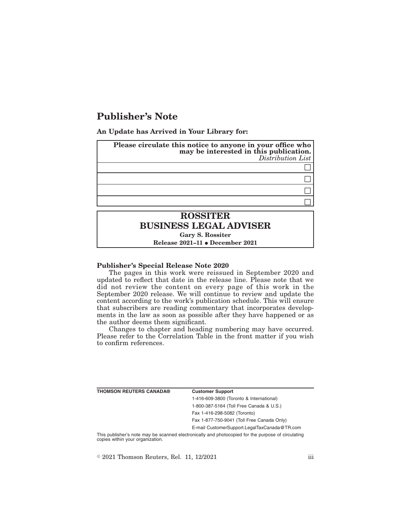## **Publisher's Note**

**An Update has Arrived in Your Library for:**

| Please circulate this notice to anyone in your office who<br>may be interested in this publication.<br>Distribution List |  |
|--------------------------------------------------------------------------------------------------------------------------|--|
|                                                                                                                          |  |
|                                                                                                                          |  |
|                                                                                                                          |  |
|                                                                                                                          |  |
| <b>ROSSITER</b>                                                                                                          |  |
| <b>BUSINESS LEGAL ADVISER</b>                                                                                            |  |
| Gary S. Rossiter                                                                                                         |  |

**Release 2021-11 • December 2021** 

## **Publisher's Special Release Note 2020**

The pages in this work were reissued in September 2020 and updated to reflect that date in the release line. Please note that we did not review the content on every page of this work in the September 2020 release. We will continue to review and update the content according to the work's publication schedule. This will ensure that subscribers are reading commentary that incorporates developments in the law as soon as possible after they have happened or as the author deems them significant.

Changes to chapter and heading numbering may have occurred. Please refer to the Correlation Table in the front matter if you wish to confirm references.

| <b>THOMSON REUTERS CANADA®</b>                                                                                  | <b>Customer Support</b>                      |
|-----------------------------------------------------------------------------------------------------------------|----------------------------------------------|
|                                                                                                                 | 1-416-609-3800 (Toronto & International)     |
|                                                                                                                 | 1-800-387-5164 (Toll Free Canada & U.S.)     |
|                                                                                                                 | Fax 1-416-298-5082 (Toronto)                 |
|                                                                                                                 | Fax 1-877-750-9041 (Toll Free Canada Only)   |
|                                                                                                                 | E-mail CustomerSupport.LegalTaxCanada@TR.com |
| This continuate and comparently approached algorithments and algorithments of facility comparent of chanderings |                                              |

This publisher's note may be scanned electronically and photocopied for the purpose of circulating copies within your organization.

 $\textdegree$  2021 Thomson Reuters, Rel. 11, 12/2021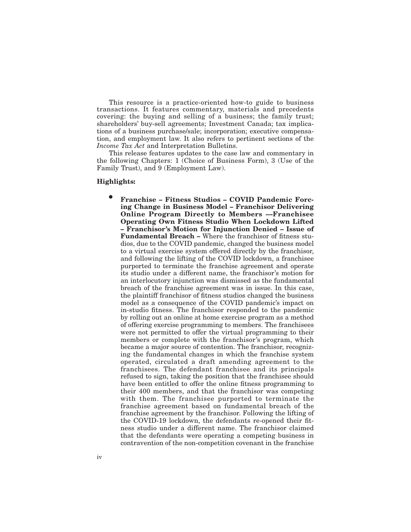This resource is a practice-oriented how-to guide to business transactions. It features commentary, materials and precedents covering: the buying and selling of a business; the family trust; shareholders' buy-sell agreements; Investment Canada; tax implications of a business purchase/sale; incorporation; executive compensation, and employment law. It also refers to pertinent sections of the *Income Tax Act* and Interpretation Bulletins.

This release features updates to the case law and commentary in the following Chapters: 1 (Choice of Business Form), 3 (Use of the Family Trust), and 9 (Employment Law).

## **Highlights:**

E **Franchise – Fitness Studios – COVID Pandemic Forcing Change in Business Model – Franchisor Delivering Online Program Directly to Members ––Franchisee Operating Own Fitness Studio When Lockdown Lifted – Franchisor's Motion for Injunction Denied – Issue of Fundamental Breach –** Where the franchisor of fitness studios, due to the COVID pandemic, changed the business model to a virtual exercise system offered directly by the franchisor, and following the lifting of the COVID lockdown, a franchisee purported to terminate the franchise agreement and operate its studio under a different name, the franchisor's motion for an interlocutory injunction was dismissed as the fundamental breach of the franchise agreement was in issue. In this case, the plaintiff franchisor of fitness studios changed the business model as a consequence of the COVID pandemic's impact on in-studio fitness. The franchisor responded to the pandemic by rolling out an online at home exercise program as a method of offering exercise programming to members. The franchisees were not permitted to offer the virtual programming to their members or complete with the franchisor's program, which became a major source of contention. The franchisor, recognizing the fundamental changes in which the franchise system operated, circulated a draft amending agreement to the franchisees. The defendant franchisee and its principals refused to sign, taking the position that the franchisee should have been entitled to offer the online fitness programming to their 400 members, and that the franchisor was competing with them. The franchisee purported to terminate the franchise agreement based on fundamental breach of the franchise agreement by the franchisor. Following the lifting of the COVID-19 lockdown, the defendants re-opened their fitness studio under a different name. The franchisor claimed that the defendants were operating a competing business in contravention of the non-competition covenant in the franchise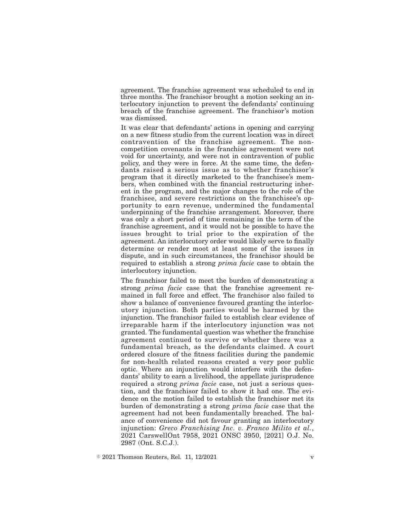agreement. The franchise agreement was scheduled to end in three months. The franchisor brought a motion seeking an interlocutory injunction to prevent the defendants' continuing breach of the franchise agreement. The franchisor's motion was dismissed.

It was clear that defendants' actions in opening and carrying on a new fitness studio from the current location was in direct contravention of the franchise agreement. The noncompetition covenants in the franchise agreement were not void for uncertainty, and were not in contravention of public policy, and they were in force. At the same time, the defendants raised a serious issue as to whether franchisor's program that it directly marketed to the franchisee's members, when combined with the financial restructuring inherent in the program, and the major changes to the role of the franchisee, and severe restrictions on the franchisee's opportunity to earn revenue, undermined the fundamental underpinning of the franchise arrangement. Moreover, there was only a short period of time remaining in the term of the franchise agreement, and it would not be possible to have the issues brought to trial prior to the expiration of the agreement. An interlocutory order would likely serve to finally determine or render moot at least some of the issues in dispute, and in such circumstances, the franchisor should be required to establish a strong *prima facie* case to obtain the interlocutory injunction.

The franchisor failed to meet the burden of demonstrating a strong *prima facie* case that the franchise agreement remained in full force and effect. The franchisor also failed to show a balance of convenience favoured granting the interlocutory injunction. Both parties would be harmed by the injunction. The franchisor failed to establish clear evidence of irreparable harm if the interlocutory injunction was not granted. The fundamental question was whether the franchise agreement continued to survive or whether there was a fundamental breach, as the defendants claimed. A court ordered closure of the fitness facilities during the pandemic for non-health related reasons created a very poor public optic. Where an injunction would interfere with the defendants' ability to earn a livelihood, the appellate jurisprudence required a strong *prima facie* case, not just a serious question, and the franchisor failed to show it had one. The evidence on the motion failed to establish the franchisor met its burden of demonstrating a strong *prima facie* case that the agreement had not been fundamentally breached. The balance of convenience did not favour granting an interlocutory injunction: *Greco Franchising Inc. v. Franco Milito et al.*, 2021 CarswellOnt 7958, 2021 ONSC 3950, [2021] O.J. No. 2987 (Ont. S.C.J.).

 $\textdegree$  2021 Thomson Reuters, Rel. 11, 12/2021 v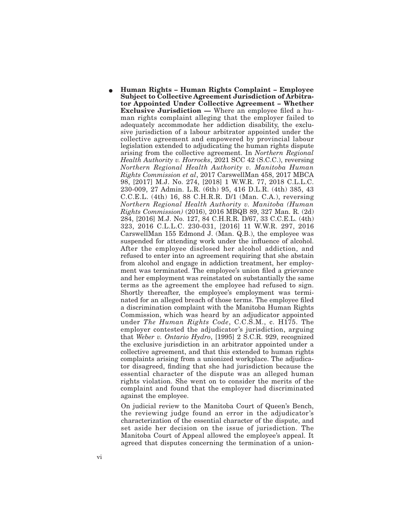E **Human Rights – Human Rights Complaint – Employee Subject to Collective Agreement Jurisdiction of Arbitrator Appointed Under Collective Agreement – Whether Exclusive Jurisdiction —** Where an employee filed a human rights complaint alleging that the employer failed to adequately accommodate her addiction disability, the exclusive jurisdiction of a labour arbitrator appointed under the collective agreement and empowered by provincial labour legislation extended to adjudicating the human rights dispute arising from the collective agreement. In *Northern Regional Health Authority v. Horrocks*, 2021 SCC 42 (S.C.C.), reversing *Northern Regional Health Authority v. Manitoba Human Rights Commission et al*, 2017 CarswellMan 458, 2017 MBCA 98, [2017] M.J. No. 274, [2018] 1 W.W.R. 77, 2018 C.L.L.C. 230-009, 27 Admin. L.R. (6th) 95, 416 D.L.R. (4th) 385, 43 C.C.E.L. (4th) 16, 88 C.H.R.R. D/1 (Man. C.A.), reversing *Northern Regional Health Authority v. Manitoba (Human Rights Commission)* (2016), 2016 MBQB 89, 327 Man. R. (2d) 284, [2016] M.J. No. 127, 84 C.H.R.R. D/67, 33 C.C.E.L. (4th) 323, 2016 C.L.L.C. 230-031, [2016] 11 W.W.R. 297, 2016 CarswellMan 155 Edmond J. (Man. Q.B.), the employee was suspended for attending work under the influence of alcohol. After the employee disclosed her alcohol addiction, and refused to enter into an agreement requiring that she abstain from alcohol and engage in addiction treatment, her employment was terminated. The employee's union filed a grievance and her employment was reinstated on substantially the same terms as the agreement the employee had refused to sign. Shortly thereafter, the employee's employment was terminated for an alleged breach of those terms. The employee filed a discrimination complaint with the Manitoba Human Rights Commission, which was heard by an adjudicator appointed under *The Human Rights Code*, C.C.S.M., c. H175. The employer contested the adjudicator's jurisdiction, arguing that *Weber v. Ontario Hydro*, [1995] 2 S.C.R. 929, recognized the exclusive jurisdiction in an arbitrator appointed under a collective agreement, and that this extended to human rights complaints arising from a unionized workplace. The adjudicator disagreed, finding that she had jurisdiction because the essential character of the dispute was an alleged human rights violation. She went on to consider the merits of the complaint and found that the employer had discriminated against the employee.

On judicial review to the Manitoba Court of Queen's Bench, the reviewing judge found an error in the adjudicator's characterization of the essential character of the dispute, and set aside her decision on the issue of jurisdiction. The Manitoba Court of Appeal allowed the employee's appeal. It agreed that disputes concerning the termination of a union